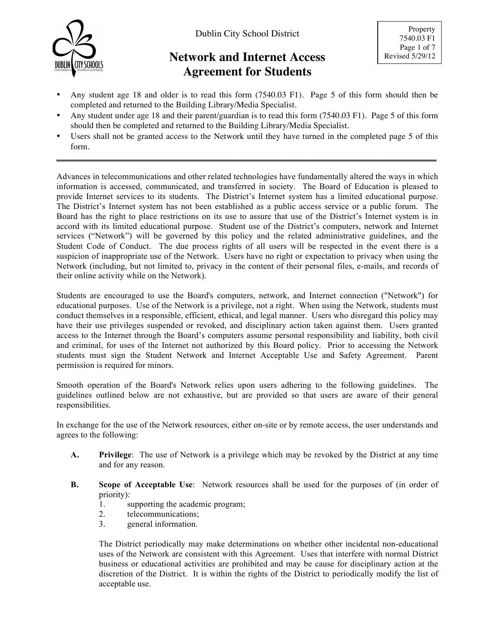

## **Network and Internet Access Agreement for Students**

- Any student age 18 and older is to read this form (7540.03 F1). Page 5 of this form should then be completed and returned to the Building Library/Media Specialist.
- Any student under age 18 and their parent/guardian is to read this form (7540.03 F1). Page 5 of this form should then be completed and returned to the Building Library/Media Specialist.
- Users shall not be granted access to the Network until they have turned in the completed page 5 of this form.

**\_\_\_\_\_\_\_\_\_\_\_\_\_\_\_\_\_\_\_\_\_\_\_\_\_\_\_\_\_\_\_\_\_\_\_\_\_\_\_\_\_\_\_\_\_\_\_\_\_\_\_\_\_\_\_\_\_\_\_\_\_\_\_\_\_\_\_\_\_\_\_\_\_\_\_\_\_\_\_\_\_\_\_\_\_\_\_\_**

Advances in telecommunications and other related technologies have fundamentally altered the ways in which information is accessed, communicated, and transferred in society. The Board of Education is pleased to provide Internet services to its students. The District's Internet system has a limited educational purpose. The District's Internet system has not been established as a public access service or a public forum. The Board has the right to place restrictions on its use to assure that use of the District's Internet system is in accord with its limited educational purpose. Student use of the District's computers, network and Internet services ("Network") will be governed by this policy and the related administrative guidelines, and the Student Code of Conduct. The due process rights of all users will be respected in the event there is a suspicion of inappropriate use of the Network. Users have no right or expectation to privacy when using the Network (including, but not limited to, privacy in the content of their personal files, e-mails, and records of their online activity while on the Network).

Students are encouraged to use the Board's computers, network, and Internet connection ("Network") for educational purposes. Use of the Network is a privilege, not a right. When using the Network, students must conduct themselves in a responsible, efficient, ethical, and legal manner. Users who disregard this policy may have their use privileges suspended or revoked, and disciplinary action taken against them. Users granted access to the Internet through the Board's computers assume personal responsibility and liability, both civil and criminal, for uses of the Internet not authorized by this Board policy. Prior to accessing the Network students must sign the Student Network and Internet Acceptable Use and Safety Agreement. Parent permission is required for minors.

Smooth operation of the Board's Network relies upon users adhering to the following guidelines. The guidelines outlined below are not exhaustive, but are provided so that users are aware of their general responsibilities.

In exchange for the use of the Network resources, either on-site or by remote access, the user understands and agrees to the following:

- **A. Privilege**: The use of Network is a privilege which may be revoked by the District at any time and for any reason.
- **B. Scope of Acceptable Use**: Network resources shall be used for the purposes of (in order of priority):
	- 1. supporting the academic program;
	- 2. telecommunications;
	- 3. general information.

The District periodically may make determinations on whether other incidental non-educational uses of the Network are consistent with this Agreement. Uses that interfere with normal District business or educational activities are prohibited and may be cause for disciplinary action at the discretion of the District. It is within the rights of the District to periodically modify the list of acceptable use.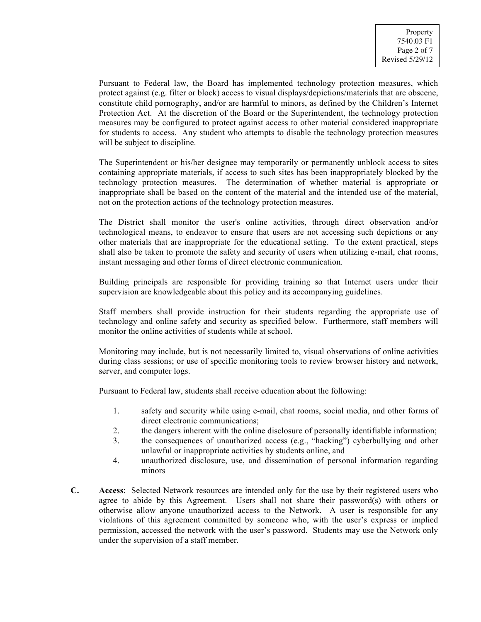Pursuant to Federal law, the Board has implemented technology protection measures, which protect against (e.g. filter or block) access to visual displays/depictions/materials that are obscene, constitute child pornography, and/or are harmful to minors, as defined by the Children's Internet Protection Act. At the discretion of the Board or the Superintendent, the technology protection measures may be configured to protect against access to other material considered inappropriate for students to access. Any student who attempts to disable the technology protection measures will be subject to discipline.

The Superintendent or his/her designee may temporarily or permanently unblock access to sites containing appropriate materials, if access to such sites has been inappropriately blocked by the technology protection measures. The determination of whether material is appropriate or inappropriate shall be based on the content of the material and the intended use of the material, not on the protection actions of the technology protection measures.

The District shall monitor the user's online activities, through direct observation and/or technological means, to endeavor to ensure that users are not accessing such depictions or any other materials that are inappropriate for the educational setting. To the extent practical, steps shall also be taken to promote the safety and security of users when utilizing e-mail, chat rooms, instant messaging and other forms of direct electronic communication.

Building principals are responsible for providing training so that Internet users under their supervision are knowledgeable about this policy and its accompanying guidelines.

Staff members shall provide instruction for their students regarding the appropriate use of technology and online safety and security as specified below. Furthermore, staff members will monitor the online activities of students while at school.

Monitoring may include, but is not necessarily limited to, visual observations of online activities during class sessions; or use of specific monitoring tools to review browser history and network, server, and computer logs.

Pursuant to Federal law, students shall receive education about the following:

- 1. safety and security while using e-mail, chat rooms, social media, and other forms of direct electronic communications;
- 2. the dangers inherent with the online disclosure of personally identifiable information;
- 3. the consequences of unauthorized access (e.g., "hacking") cyberbullying and other unlawful or inappropriate activities by students online, and
- 4. unauthorized disclosure, use, and dissemination of personal information regarding minors
- **C. Access**: Selected Network resources are intended only for the use by their registered users who agree to abide by this Agreement. Users shall not share their password(s) with others or otherwise allow anyone unauthorized access to the Network. A user is responsible for any violations of this agreement committed by someone who, with the user's express or implied permission, accessed the network with the user's password. Students may use the Network only under the supervision of a staff member.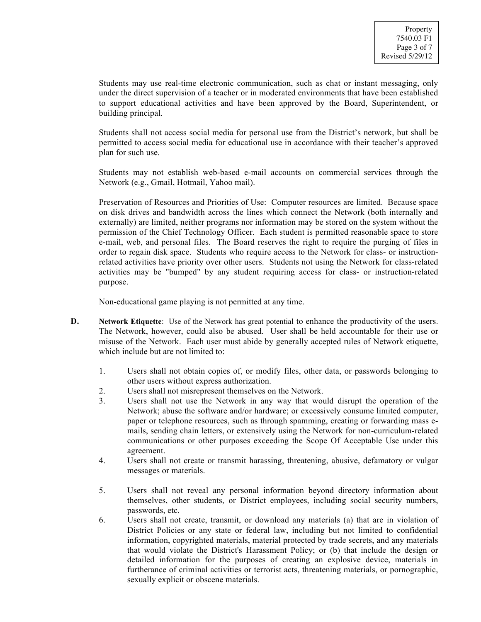Students may use real-time electronic communication, such as chat or instant messaging, only under the direct supervision of a teacher or in moderated environments that have been established to support educational activities and have been approved by the Board, Superintendent, or building principal.

Students shall not access social media for personal use from the District's network, but shall be permitted to access social media for educational use in accordance with their teacher's approved plan for such use.

Students may not establish web-based e-mail accounts on commercial services through the Network (e.g., Gmail, Hotmail, Yahoo mail).

Preservation of Resources and Priorities of Use: Computer resources are limited. Because space on disk drives and bandwidth across the lines which connect the Network (both internally and externally) are limited, neither programs nor information may be stored on the system without the permission of the Chief Technology Officer. Each student is permitted reasonable space to store e-mail, web, and personal files. The Board reserves the right to require the purging of files in order to regain disk space. Students who require access to the Network for class- or instructionrelated activities have priority over other users. Students not using the Network for class-related activities may be "bumped" by any student requiring access for class- or instruction-related purpose.

Non-educational game playing is not permitted at any time.

- **D. Network Etiquette**: Use of the Network has great potential to enhance the productivity of the users. The Network, however, could also be abused. User shall be held accountable for their use or misuse of the Network. Each user must abide by generally accepted rules of Network etiquette, which include but are not limited to:
	- 1. Users shall not obtain copies of, or modify files, other data, or passwords belonging to other users without express authorization.
	- 2. Users shall not misrepresent themselves on the Network.
	- 3. Users shall not use the Network in any way that would disrupt the operation of the Network; abuse the software and/or hardware; or excessively consume limited computer, paper or telephone resources, such as through spamming, creating or forwarding mass emails, sending chain letters, or extensively using the Network for non-curriculum-related communications or other purposes exceeding the Scope Of Acceptable Use under this agreement.
	- 4. Users shall not create or transmit harassing, threatening, abusive, defamatory or vulgar messages or materials.
	- 5. Users shall not reveal any personal information beyond directory information about themselves, other students, or District employees, including social security numbers, passwords, etc.
	- 6. Users shall not create, transmit, or download any materials (a) that are in violation of District Policies or any state or federal law, including but not limited to confidential information, copyrighted materials, material protected by trade secrets, and any materials that would violate the District's Harassment Policy; or (b) that include the design or detailed information for the purposes of creating an explosive device, materials in furtherance of criminal activities or terrorist acts, threatening materials, or pornographic, sexually explicit or obscene materials.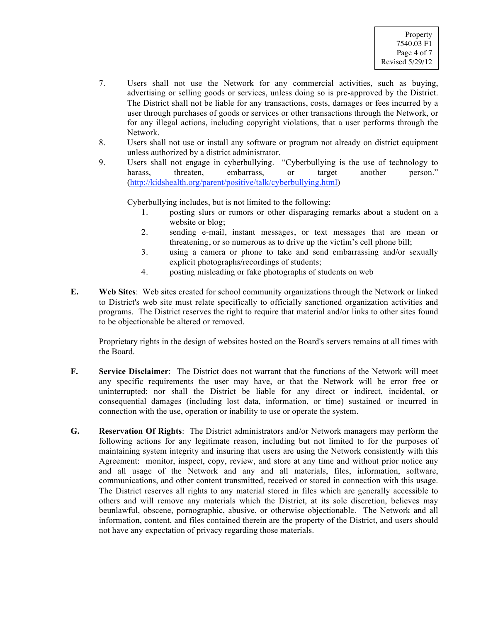- 7. Users shall not use the Network for any commercial activities, such as buying, advertising or selling goods or services, unless doing so is pre-approved by the District. The District shall not be liable for any transactions, costs, damages or fees incurred by a user through purchases of goods or services or other transactions through the Network, or for any illegal actions, including copyright violations, that a user performs through the Network.
- 8. Users shall not use or install any software or program not already on district equipment unless authorized by a district administrator.
- 9. Users shall not engage in cyberbullying. "Cyberbullying is the use of technology to harass, threaten, embarrass, or target another person." (http://kidshealth.org/parent/positive/talk/cyberbullying.html)

Cyberbullying includes, but is not limited to the following:

- 1. posting slurs or rumors or other disparaging remarks about a student on a website or blog:
- 2. sending e-mail, instant messages, or text messages that are mean or threatening, or so numerous as to drive up the victim's cell phone bill;
- 3. using a camera or phone to take and send embarrassing and/or sexually explicit photographs/recordings of students;
- 4. posting misleading or fake photographs of students on web
- **E. Web Sites**: Web sites created for school community organizations through the Network or linked to District's web site must relate specifically to officially sanctioned organization activities and programs. The District reserves the right to require that material and/or links to other sites found to be objectionable be altered or removed.

Proprietary rights in the design of websites hosted on the Board's servers remains at all times with the Board.

- **F. Service Disclaimer**: The District does not warrant that the functions of the Network will meet any specific requirements the user may have, or that the Network will be error free or uninterrupted; nor shall the District be liable for any direct or indirect, incidental, or consequential damages (including lost data, information, or time) sustained or incurred in connection with the use, operation or inability to use or operate the system.
- **G. Reservation Of Rights**: The District administrators and/or Network managers may perform the following actions for any legitimate reason, including but not limited to for the purposes of maintaining system integrity and insuring that users are using the Network consistently with this Agreement: monitor, inspect, copy, review, and store at any time and without prior notice any and all usage of the Network and any and all materials, files, information, software, communications, and other content transmitted, received or stored in connection with this usage. The District reserves all rights to any material stored in files which are generally accessible to others and will remove any materials which the District, at its sole discretion, believes may beunlawful, obscene, pornographic, abusive, or otherwise objectionable. The Network and all information, content, and files contained therein are the property of the District, and users should not have any expectation of privacy regarding those materials.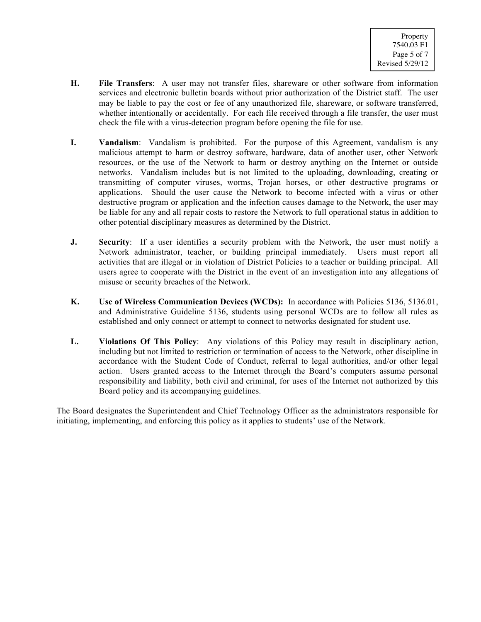- **H. File Transfers**: A user may not transfer files, shareware or other software from information services and electronic bulletin boards without prior authorization of the District staff. The user may be liable to pay the cost or fee of any unauthorized file, shareware, or software transferred, whether intentionally or accidentally. For each file received through a file transfer, the user must check the file with a virus-detection program before opening the file for use.
- **I. Vandalism**: Vandalism is prohibited. For the purpose of this Agreement, vandalism is any malicious attempt to harm or destroy software, hardware, data of another user, other Network resources, or the use of the Network to harm or destroy anything on the Internet or outside networks. Vandalism includes but is not limited to the uploading, downloading, creating or transmitting of computer viruses, worms, Trojan horses, or other destructive programs or applications. Should the user cause the Network to become infected with a virus or other destructive program or application and the infection causes damage to the Network, the user may be liable for any and all repair costs to restore the Network to full operational status in addition to other potential disciplinary measures as determined by the District.
- **J. Security**: If a user identifies a security problem with the Network, the user must notify a Network administrator, teacher, or building principal immediately. Users must report all activities that are illegal or in violation of District Policies to a teacher or building principal. All users agree to cooperate with the District in the event of an investigation into any allegations of misuse or security breaches of the Network.
- **K. Use of Wireless Communication Devices (WCDs):** In accordance with Policies 5136, 5136.01, and Administrative Guideline 5136, students using personal WCDs are to follow all rules as established and only connect or attempt to connect to networks designated for student use.
- **L. Violations Of This Policy**: Any violations of this Policy may result in disciplinary action, including but not limited to restriction or termination of access to the Network, other discipline in accordance with the Student Code of Conduct, referral to legal authorities, and/or other legal action. Users granted access to the Internet through the Board's computers assume personal responsibility and liability, both civil and criminal, for uses of the Internet not authorized by this Board policy and its accompanying guidelines.

The Board designates the Superintendent and Chief Technology Officer as the administrators responsible for initiating, implementing, and enforcing this policy as it applies to students' use of the Network.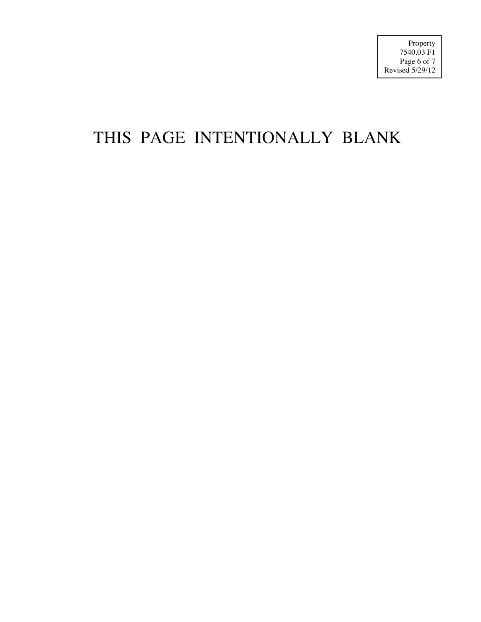## THIS PAGE INTENTIONALLY BLANK